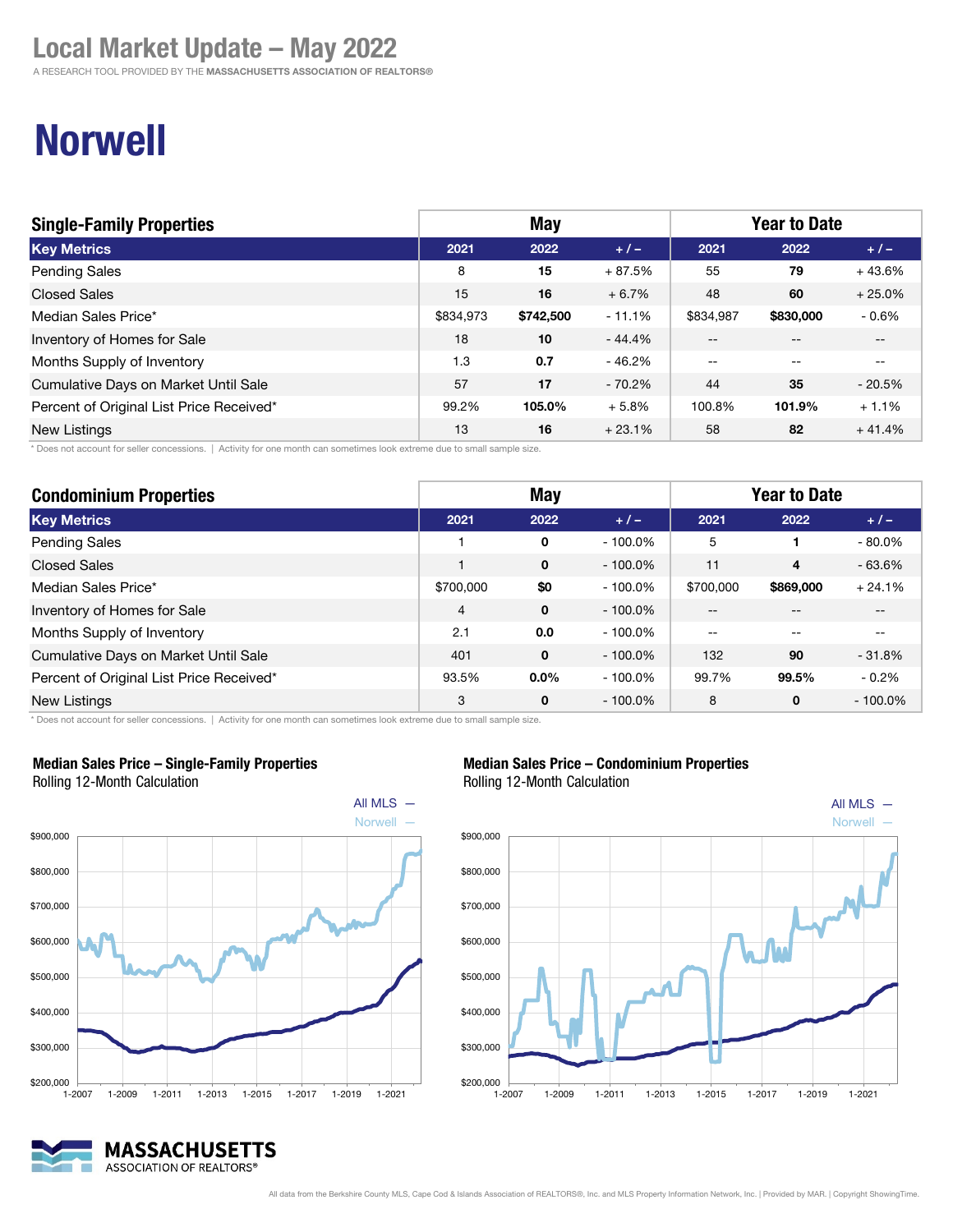A RESEARCH TOOL PROVIDED BY THE MASSACHUSETTS ASSOCIATION OF REALTORS®

## South Shore **notify** Realtors<sup>®</sup>

Resources. Relationships. Results.

# Norwell

| <b>Single-Family Properties</b>          | <b>May</b> |           |          | <b>Year to Date</b> |           |          |
|------------------------------------------|------------|-----------|----------|---------------------|-----------|----------|
| <b>Key Metrics</b>                       | 2021       | 2022      | $+/-$    | 2021                | 2022      | $+/-$    |
| <b>Pending Sales</b>                     | 8          | 15        | $+87.5%$ | 55                  | 79        | $+43.6%$ |
| <b>Closed Sales</b>                      | 15         | 16        | $+6.7%$  | 48                  | 60        | $+25.0%$ |
| Median Sales Price*                      | \$834.973  | \$742,500 | $-11.1%$ | \$834.987           | \$830,000 | $-0.6%$  |
| Inventory of Homes for Sale              | 18         | 10        | $-44.4%$ | $- -$               |           | --       |
| Months Supply of Inventory               | 1.3        | 0.7       | $-46.2%$ | --                  | --        | $- -$    |
| Cumulative Days on Market Until Sale     | 57         | 17        | $-70.2%$ | 44                  | 35        | $-20.5%$ |
| Percent of Original List Price Received* | 99.2%      | 105.0%    | $+5.8%$  | 100.8%              | 101.9%    | $+1.1%$  |
| <b>New Listings</b>                      | 13         | 16        | $+23.1%$ | 58                  | 82        | $+41.4%$ |

\* Does not account for seller concessions. | Activity for one month can sometimes look extreme due to small sample size.

| <b>Condominium Properties</b>            | <b>May</b>     |             |            | <b>Year to Date</b> |           |            |
|------------------------------------------|----------------|-------------|------------|---------------------|-----------|------------|
| <b>Key Metrics</b>                       | 2021           | 2022        | $+/-$      | 2021                | 2022      | $+/-$      |
| <b>Pending Sales</b>                     |                | 0           | $-100.0\%$ | 5                   |           | $-80.0\%$  |
| <b>Closed Sales</b>                      |                | 0           | $-100.0\%$ | 11                  | 4         | $-63.6%$   |
| Median Sales Price*                      | \$700,000      | \$0         | $-100.0\%$ | \$700,000           | \$869,000 | $+24.1%$   |
| Inventory of Homes for Sale              | $\overline{4}$ | $\mathbf 0$ | $-100.0\%$ | $- -$               |           |            |
| Months Supply of Inventory               | 2.1            | 0.0         | $-100.0\%$ | $-$                 |           |            |
| Cumulative Days on Market Until Sale     | 401            | 0           | $-100.0\%$ | 132                 | 90        | $-31.8%$   |
| Percent of Original List Price Received* | 93.5%          | $0.0\%$     | $-100.0\%$ | 99.7%               | 99.5%     | $-0.2\%$   |
| <b>New Listings</b>                      | 3              | 0           | $-100.0\%$ | 8                   | 0         | $-100.0\%$ |

\* Does not account for seller concessions. | Activity for one month can sometimes look extreme due to small sample size.



Median Sales Price – Single-Family Properties Rolling 12-Month Calculation

#### Median Sales Price – Condominium Properties

Rolling 12-Month Calculation



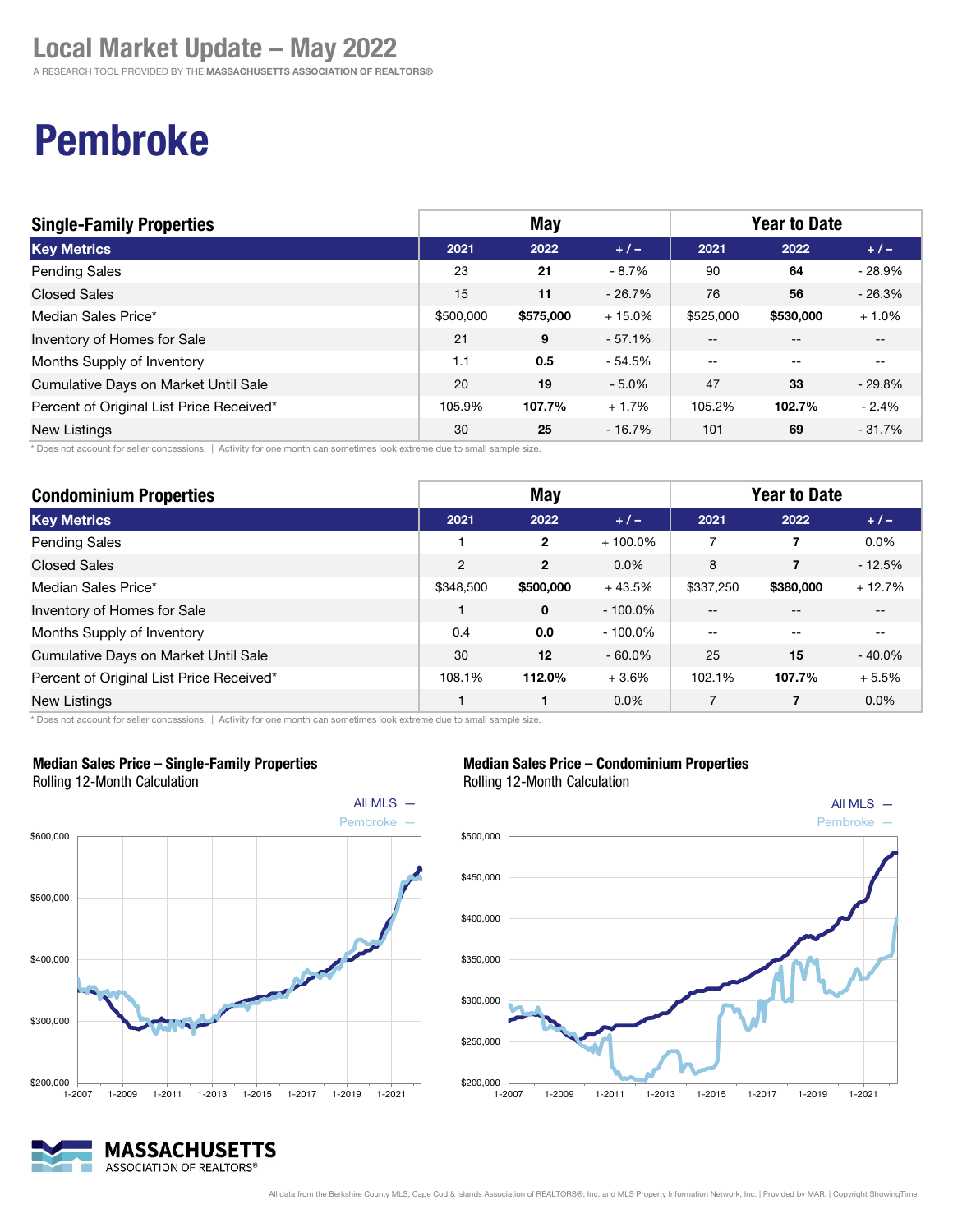A RESEARCH TOOL PROVIDED BY THE MASSACHUSETTS ASSOCIATION OF REALTORS®

# Pembroke

| <b>Single-Family Properties</b>          |           | May       |          | <b>Year to Date</b> |           |          |
|------------------------------------------|-----------|-----------|----------|---------------------|-----------|----------|
| <b>Key Metrics</b>                       | 2021      | 2022      | $+1-$    | 2021                | 2022      | $+/-$    |
| <b>Pending Sales</b>                     | 23        | 21        | - 8.7%   | 90                  | 64        | $-28.9%$ |
| <b>Closed Sales</b>                      | 15        | 11        | $-26.7%$ | 76                  | 56        | $-26.3%$ |
| Median Sales Price*                      | \$500,000 | \$575,000 | $+15.0%$ | \$525,000           | \$530,000 | $+1.0%$  |
| Inventory of Homes for Sale              | 21        | 9         | $-57.1%$ | $-$                 | $-$       | $- -$    |
| Months Supply of Inventory               | 1.1       | 0.5       | $-54.5%$ | $- -$               | $- -$     | $- -$    |
| Cumulative Days on Market Until Sale     | 20        | 19        | $-5.0%$  | 47                  | 33        | $-29.8%$ |
| Percent of Original List Price Received* | 105.9%    | 107.7%    | $+1.7%$  | 105.2%              | 102.7%    | $-2.4%$  |
| <b>New Listings</b>                      | 30        | 25        | $-16.7%$ | 101                 | 69        | $-31.7%$ |

\* Does not account for seller concessions. | Activity for one month can sometimes look extreme due to small sample size.

| <b>Condominium Properties</b>            | <b>May</b>     |                |            | <b>Year to Date</b> |           |           |  |
|------------------------------------------|----------------|----------------|------------|---------------------|-----------|-----------|--|
| <b>Key Metrics</b>                       | 2021           | 2022           | $+/-$      | 2021                | 2022      | $+/-$     |  |
| <b>Pending Sales</b>                     |                | $\mathbf{2}$   | $+100.0\%$ |                     |           | $0.0\%$   |  |
| <b>Closed Sales</b>                      | $\overline{2}$ | $\overline{2}$ | 0.0%       | 8                   | 7         | $-12.5%$  |  |
| Median Sales Price*                      | \$348,500      | \$500,000      | $+43.5%$   | \$337,250           | \$380,000 | $+12.7%$  |  |
| Inventory of Homes for Sale              |                | 0              | $-100.0\%$ | --                  |           |           |  |
| Months Supply of Inventory               | 0.4            | 0.0            | $-100.0\%$ | $- -$               |           |           |  |
| Cumulative Days on Market Until Sale     | 30             | 12             | $-60.0\%$  | 25                  | 15        | $-40.0\%$ |  |
| Percent of Original List Price Received* | 108.1%         | 112.0%         | $+3.6%$    | 102.1%              | 107.7%    | $+5.5%$   |  |
| New Listings                             |                |                | $0.0\%$    |                     |           | 0.0%      |  |

\* Does not account for seller concessions. | Activity for one month can sometimes look extreme due to small sample size.



#### Median Sales Price – Single-Family Properties Rolling 12-Month Calculation



South Shore **not** Realtors<sup>®</sup> Resources. Relationships. Results.

Median Sales Price – Condominium Properties Rolling 12-Month Calculation

MASSACHUSETTS ASSOCIATION OF REALTORS®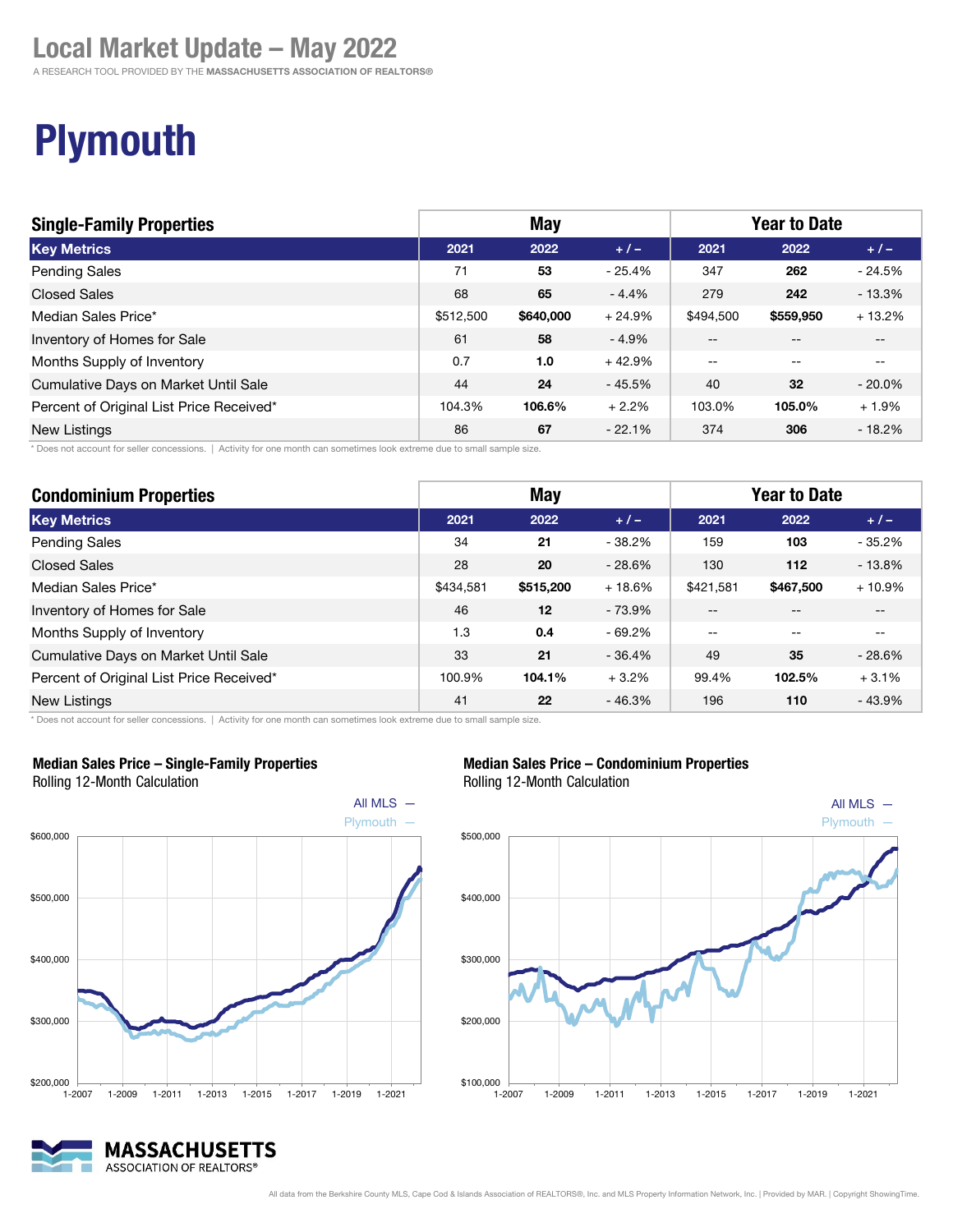A RESEARCH TOOL PROVIDED BY THE MASSACHUSETTS ASSOCIATION OF REALTORS®

# **Plymouth**

## South Shore *nd* Realtors<sup>®</sup>

Resources. Relationships. Results.

| <b>Single-Family Properties</b>          | <b>May</b> |           |          | <b>Year to Date</b> |           |           |
|------------------------------------------|------------|-----------|----------|---------------------|-----------|-----------|
| <b>Key Metrics</b>                       | 2021       | 2022      | $+/-$    | 2021                | 2022      | $+/-$     |
| <b>Pending Sales</b>                     | 71         | 53        | $-25.4%$ | 347                 | 262       | $-24.5%$  |
| Closed Sales                             | 68         | 65        | $-4.4%$  | 279                 | 242       | $-13.3%$  |
| Median Sales Price*                      | \$512,500  | \$640,000 | $+24.9%$ | \$494.500           | \$559,950 | $+13.2%$  |
| Inventory of Homes for Sale              | 61         | 58        | $-4.9%$  | $-$                 |           | $-$       |
| Months Supply of Inventory               | 0.7        | 1.0       | $+42.9%$ | $- -$               | $- -$     | $- -$     |
| Cumulative Days on Market Until Sale     | 44         | 24        | $-45.5%$ | 40                  | 32        | $-20.0\%$ |
| Percent of Original List Price Received* | 104.3%     | 106.6%    | $+2.2%$  | 103.0%              | 105.0%    | $+1.9%$   |
| New Listings                             | 86         | 67        | $-22.1%$ | 374                 | 306       | $-18.2%$  |

\* Does not account for seller concessions. | Activity for one month can sometimes look extreme due to small sample size.

| <b>Condominium Properties</b>            | <b>May</b> |           |          | <b>Year to Date</b> |           |          |
|------------------------------------------|------------|-----------|----------|---------------------|-----------|----------|
| <b>Key Metrics</b>                       | 2021       | 2022      | $+/-$    | 2021                | 2022      | $+/-$    |
| <b>Pending Sales</b>                     | 34         | 21        | $-38.2%$ | 159                 | 103       | $-35.2%$ |
| <b>Closed Sales</b>                      | 28         | 20        | $-28.6%$ | 130                 | 112       | $-13.8%$ |
| Median Sales Price*                      | \$434,581  | \$515,200 | $+18.6%$ | \$421.581           | \$467,500 | $+10.9%$ |
| Inventory of Homes for Sale              | 46         | 12        | $-73.9%$ | $- -$               | --        | $- -$    |
| Months Supply of Inventory               | 1.3        | 0.4       | $-69.2%$ | $-$                 | --        |          |
| Cumulative Days on Market Until Sale     | 33         | 21        | $-36.4%$ | 49                  | 35        | $-28.6%$ |
| Percent of Original List Price Received* | 100.9%     | 104.1%    | $+3.2%$  | 99.4%               | 102.5%    | $+3.1%$  |
| <b>New Listings</b>                      | 41         | 22        | $-46.3%$ | 196                 | 110       | $-43.9%$ |

\* Does not account for seller concessions. | Activity for one month can sometimes look extreme due to small sample size.



MASSACHUSETTS ASSOCIATION OF REALTORS®

#### Median Sales Price – Single-Family Properties Rolling 12-Month Calculation

All MLS — **Plymouth** \$100,000 \$200,000 \$300,000 \$400,000 \$500,000 1-2007 1-2009 1-2011 1-2013 1-2015 1-2017 1-2019 1-2021 Median Sales Price – Condominium Properties Rolling 12-Month Calculation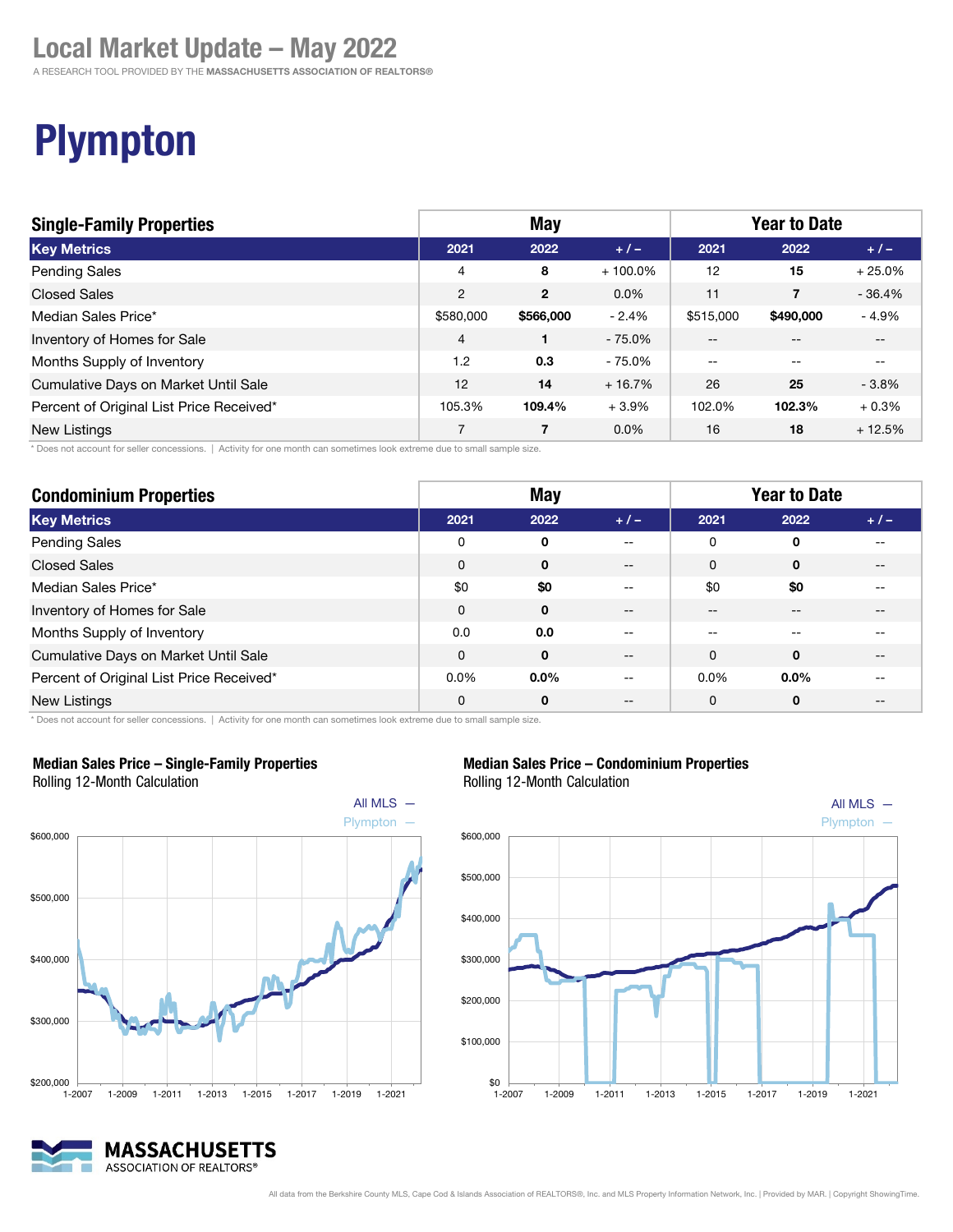A RESEARCH TOOL PROVIDED BY THE MASSACHUSETTS ASSOCIATION OF REALTORS®

## South Shore **notify** Realtors<sup>®</sup>

Resources. Relationships. Results.

# Plympton

| <b>Single-Family Properties</b>          | <b>May</b>     |                |            | <b>Year to Date</b> |                |          |
|------------------------------------------|----------------|----------------|------------|---------------------|----------------|----------|
| <b>Key Metrics</b>                       | 2021           | 2022           | $+/-$      | 2021                | 2022           | $+/-$    |
| <b>Pending Sales</b>                     | 4              | 8              | $+100.0\%$ | 12                  | 15             | $+25.0%$ |
| <b>Closed Sales</b>                      | $\overline{2}$ | $\overline{2}$ | 0.0%       | 11                  | $\overline{7}$ | $-36.4%$ |
| Median Sales Price*                      | \$580,000      | \$566,000      | $-2.4%$    | \$515,000           | \$490,000      | $-4.9%$  |
| Inventory of Homes for Sale              | $\overline{4}$ |                | $-75.0%$   | --                  |                | $- -$    |
| Months Supply of Inventory               | 1.2            | 0.3            | $-75.0%$   | $- -$               | --             | $- -$    |
| Cumulative Days on Market Until Sale     | 12             | 14             | $+16.7%$   | 26                  | 25             | $-3.8%$  |
| Percent of Original List Price Received* | 105.3%         | 109.4%         | $+3.9%$    | 102.0%              | 102.3%         | $+0.3%$  |
| <b>New Listings</b>                      | $\overline{7}$ | 7              | $0.0\%$    | 16                  | 18             | $+12.5%$ |

\* Does not account for seller concessions. | Activity for one month can sometimes look extreme due to small sample size.

| <b>Condominium Properties</b>            | <b>May</b>  |              |       | <b>Year to Date</b> |         |       |
|------------------------------------------|-------------|--------------|-------|---------------------|---------|-------|
| <b>Key Metrics</b>                       | 2021        | 2022         | $+1-$ | 2021                | 2022    | $+1-$ |
| <b>Pending Sales</b>                     | 0           | 0            | $- -$ | 0                   | 0       |       |
| <b>Closed Sales</b>                      | 0           | 0            | $- -$ | 0                   | 0       | --    |
| Median Sales Price*                      | \$0         | \$0          | --    | \$0                 | \$0     |       |
| Inventory of Homes for Sale              | $\mathbf 0$ | $\mathbf{0}$ | --    | --                  | --      | --    |
| Months Supply of Inventory               | 0.0         | 0.0          | --    | --                  |         |       |
| Cumulative Days on Market Until Sale     | 0           | $\mathbf{0}$ | $- -$ | $\Omega$            | 0       | --    |
| Percent of Original List Price Received* | $0.0\%$     | $0.0\%$      |       | $0.0\%$             | $0.0\%$ |       |
| <b>New Listings</b>                      | 0           | 0            | --    | 0                   | 0       | --    |

\* Does not account for seller concessions. | Activity for one month can sometimes look extreme due to small sample size.



Median Sales Price – Single-Family Properties

#### Median Sales Price – Condominium Properties Rolling 12-Month Calculation

All MLS  $-$ Plympton —  $$0$   $\overline{\phantom{0}}$  1-2007 \$100,000 \$200,000 \$300,000 \$400,000 \$500,000 \$600,000 1-2007 1-2009 1-2011 1-2013 1-2015 1-2017 1-2019 1-2021

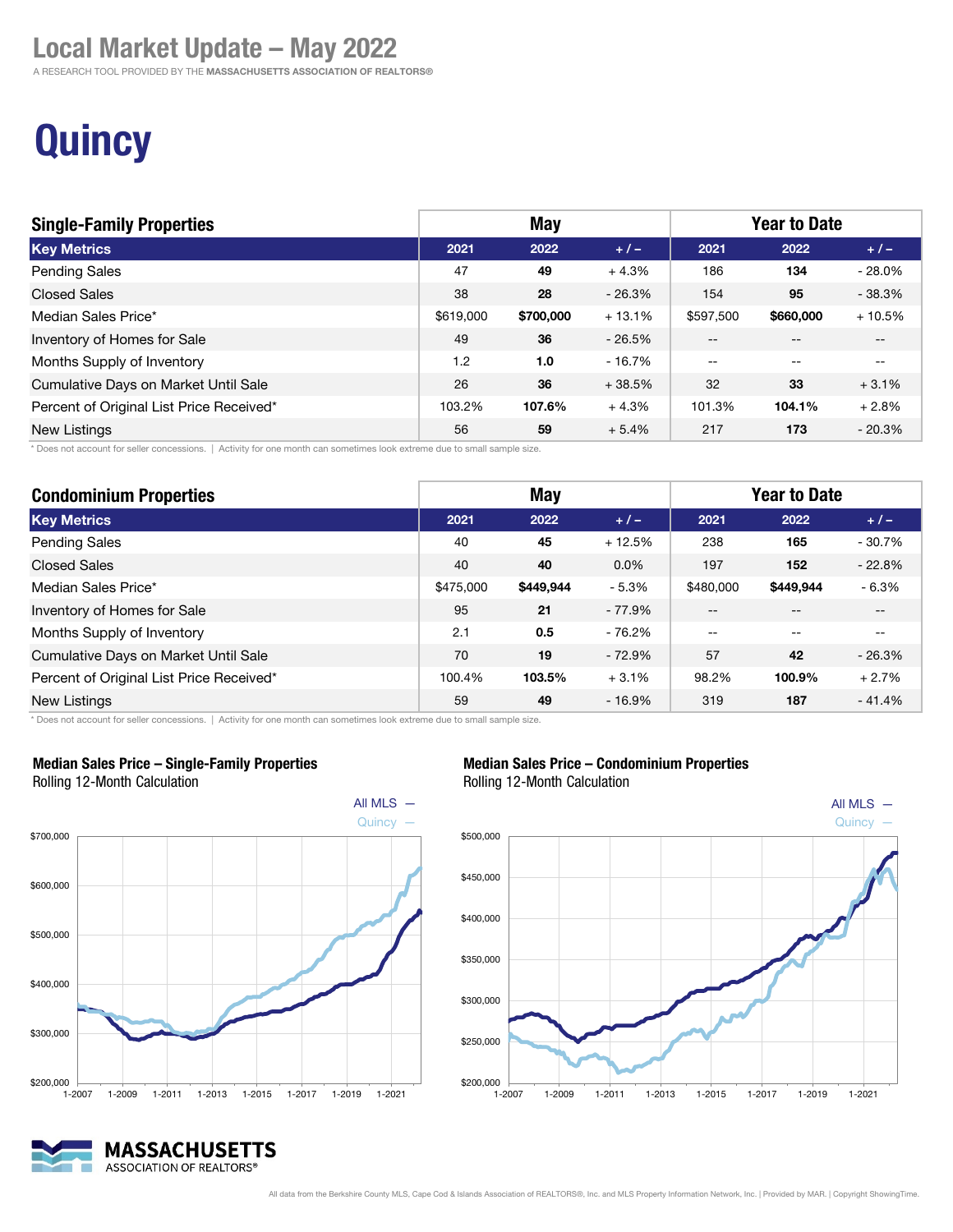A RESEARCH TOOL PROVIDED BY THE MASSACHUSETTS ASSOCIATION OF REALTORS®

## South Shore **And** Realtors<sup>®</sup>

Resources. Relationships. Results.

# **Quincy**

| <b>Single-Family Properties</b>          | May       |           |           | <b>Year to Date</b> |           |           |
|------------------------------------------|-----------|-----------|-----------|---------------------|-----------|-----------|
| <b>Key Metrics</b>                       | 2021      | 2022      | $+/-$     | 2021                | 2022      | $+1-$     |
| <b>Pending Sales</b>                     | 47        | 49        | $+4.3%$   | 186                 | 134       | $-28.0\%$ |
| <b>Closed Sales</b>                      | 38        | 28        | $-26.3\%$ | 154                 | 95        | $-38.3%$  |
| Median Sales Price*                      | \$619,000 | \$700,000 | $+13.1%$  | \$597.500           | \$660,000 | $+10.5%$  |
| Inventory of Homes for Sale              | 49        | 36        | $-26.5%$  | $-$                 |           | --        |
| Months Supply of Inventory               | 1.2       | 1.0       | $-16.7%$  | $\sim$ $\sim$       | $- -$     | $- -$     |
| Cumulative Days on Market Until Sale     | 26        | 36        | $+38.5%$  | 32                  | 33        | $+3.1%$   |
| Percent of Original List Price Received* | 103.2%    | 107.6%    | $+4.3%$   | 101.3%              | 104.1%    | $+2.8%$   |
| New Listings                             | 56        | 59        | $+5.4%$   | 217                 | 173       | $-20.3%$  |

\* Does not account for seller concessions. | Activity for one month can sometimes look extreme due to small sample size.

| <b>Condominium Properties</b>            | <b>May</b> |           |          | <b>Year to Date</b> |           |          |
|------------------------------------------|------------|-----------|----------|---------------------|-----------|----------|
| <b>Key Metrics</b>                       | 2021       | 2022      | $+/-$    | 2021                | 2022      | $+/-$    |
| <b>Pending Sales</b>                     | 40         | 45        | $+12.5%$ | 238                 | 165       | $-30.7%$ |
| <b>Closed Sales</b>                      | 40         | 40        | $0.0\%$  | 197                 | 152       | $-22.8%$ |
| Median Sales Price*                      | \$475,000  | \$449.944 | $-5.3%$  | \$480,000           | \$449,944 | - 6.3%   |
| Inventory of Homes for Sale              | 95         | 21        | $-77.9%$ | --                  | --        | $- -$    |
| Months Supply of Inventory               | 2.1        | 0.5       | $-76.2%$ | --                  | --        | --       |
| Cumulative Days on Market Until Sale     | 70         | 19        | $-72.9%$ | 57                  | 42        | $-26.3%$ |
| Percent of Original List Price Received* | 100.4%     | 103.5%    | $+3.1%$  | 98.2%               | 100.9%    | $+2.7%$  |
| <b>New Listings</b>                      | 59         | 49        | $-16.9%$ | 319                 | 187       | $-41.4%$ |

\* Does not account for seller concessions. | Activity for one month can sometimes look extreme due to small sample size.



#### Median Sales Price – Single-Family Properties Rolling 12-Month Calculation



Median Sales Price – Condominium Properties Rolling 12-Month Calculation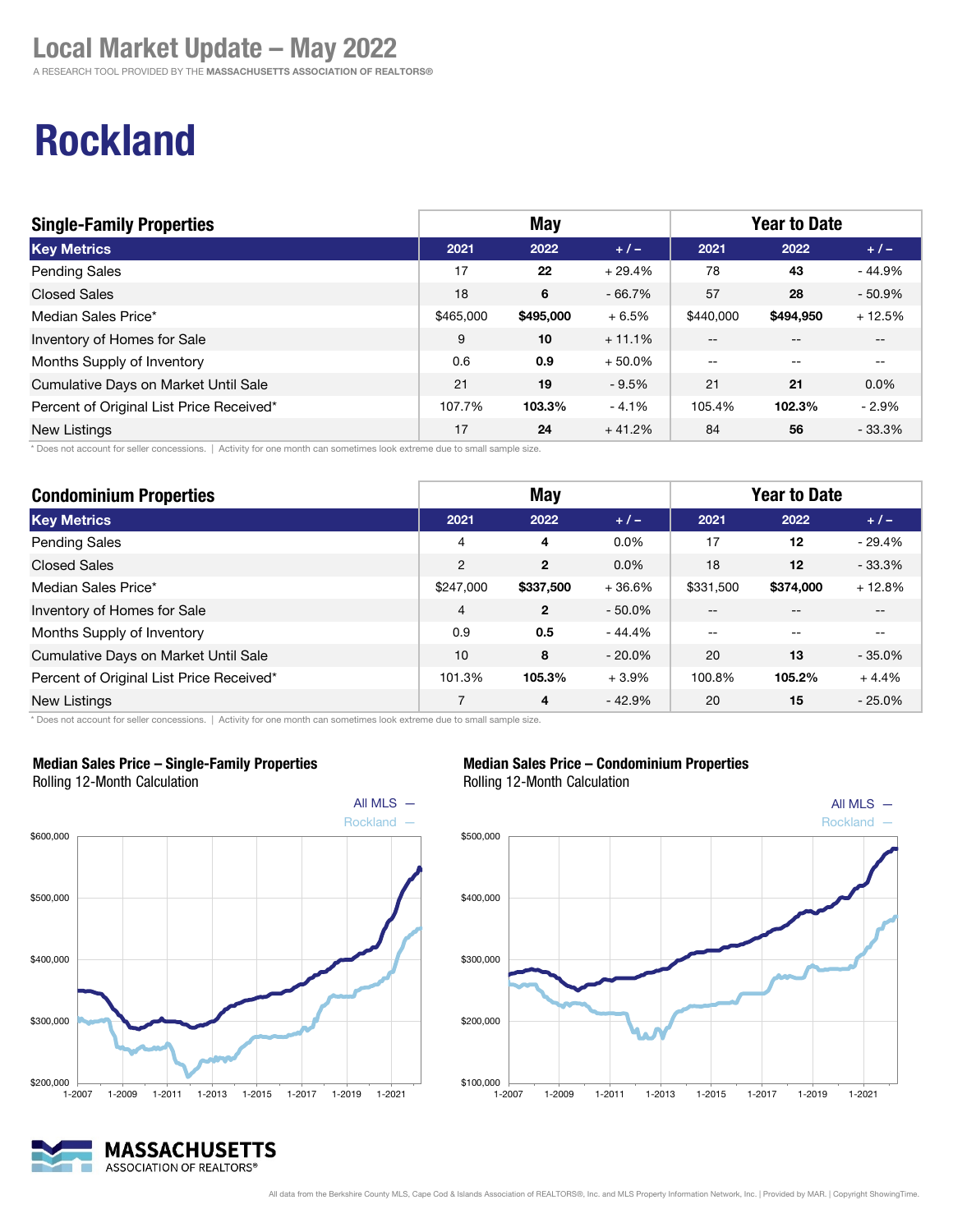A RESEARCH TOOL PROVIDED BY THE MASSACHUSETTS ASSOCIATION OF REALTORS®

# Rockland

| <b>Single-Family Properties</b>          | <b>May</b> |           |           | <b>Year to Date</b> |                   |                          |
|------------------------------------------|------------|-----------|-----------|---------------------|-------------------|--------------------------|
| <b>Key Metrics</b>                       | 2021       | 2022      | $+1-$     | 2021                | 2022              | $+1-$                    |
| <b>Pending Sales</b>                     | 17         | 22        | $+29.4%$  | 78                  | 43                | $-44.9%$                 |
| <b>Closed Sales</b>                      | 18         | 6         | $-66.7%$  | 57                  | 28                | $-50.9%$                 |
| Median Sales Price*                      | \$465,000  | \$495,000 | $+6.5%$   | \$440,000           | \$494,950         | $+12.5%$                 |
| Inventory of Homes for Sale              | 9          | 10        | $+11.1%$  | $- -$               | $- -$             | $\qquad \qquad -$        |
| Months Supply of Inventory               | 0.6        | 0.9       | $+50.0\%$ | $-$                 | $\qquad \qquad -$ | $\overline{\phantom{m}}$ |
| Cumulative Days on Market Until Sale     | 21         | 19        | $-9.5%$   | 21                  | 21                | $0.0\%$                  |
| Percent of Original List Price Received* | 107.7%     | 103.3%    | $-4.1%$   | 105.4%              | 102.3%            | $-2.9%$                  |
| <b>New Listings</b>                      | 17         | 24        | $+41.2%$  | 84                  | 56                | $-33.3%$                 |

\* Does not account for seller concessions. | Activity for one month can sometimes look extreme due to small sample size.

| <b>Condominium Properties</b>            | <b>May</b>     |              |           | <b>Year to Date</b> |           |          |
|------------------------------------------|----------------|--------------|-----------|---------------------|-----------|----------|
| <b>Key Metrics</b>                       | 2021           | 2022         | $+/-$     | 2021                | 2022      | $+/-$    |
| <b>Pending Sales</b>                     | 4              | 4            | 0.0%      | 17                  | 12        | $-29.4%$ |
| <b>Closed Sales</b>                      | $\overline{2}$ | $\mathbf{2}$ | 0.0%      | 18                  | 12        | $-33.3%$ |
| Median Sales Price*                      | \$247,000      | \$337,500    | $+36.6%$  | \$331,500           | \$374,000 | $+12.8%$ |
| Inventory of Homes for Sale              | $\overline{4}$ | $\mathbf{2}$ | $-50.0\%$ | --                  |           |          |
| Months Supply of Inventory               | 0.9            | 0.5          | $-44.4%$  | $- -$               |           |          |
| Cumulative Days on Market Until Sale     | 10             | 8            | $-20.0\%$ | 20                  | 13        | $-35.0%$ |
| Percent of Original List Price Received* | 101.3%         | 105.3%       | $+3.9%$   | 100.8%              | 105.2%    | $+4.4%$  |
| <b>New Listings</b>                      | 7              | 4            | $-42.9%$  | 20                  | 15        | $-25.0%$ |

\* Does not account for seller concessions. | Activity for one month can sometimes look extreme due to small sample size.



Median Sales Price – Single-Family Properties Rolling 12-Month Calculation



Median Sales Price – Condominium Properties

Rolling 12-Month Calculation



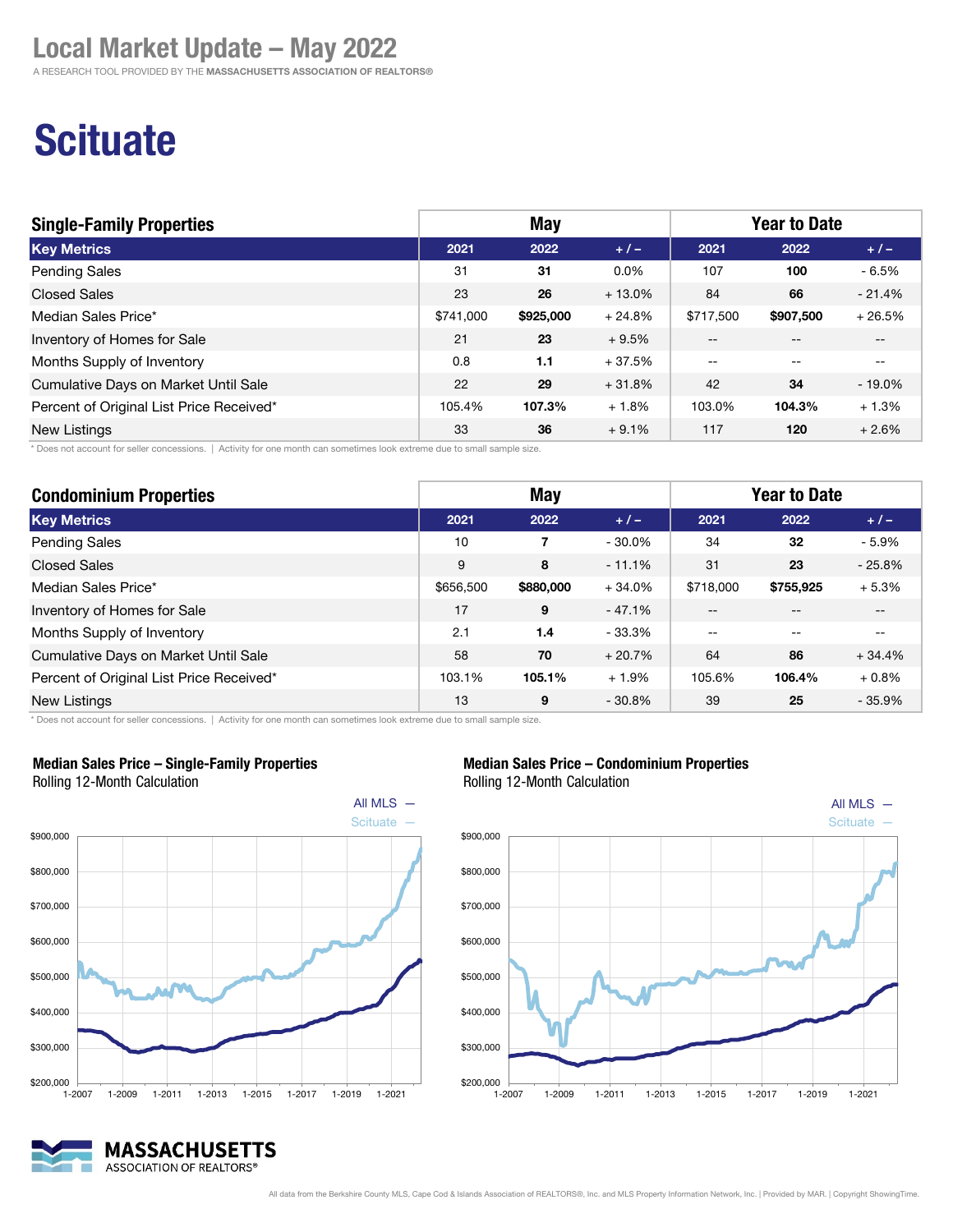A RESEARCH TOOL PROVIDED BY THE MASSACHUSETTS ASSOCIATION OF REALTORS®

# **Scituate**

| <b>Single-Family Properties</b>          | May       |           |          | <b>Year to Date</b> |           |           |
|------------------------------------------|-----------|-----------|----------|---------------------|-----------|-----------|
| <b>Key Metrics</b>                       | 2021      | 2022      | $+1-$    | 2021                | 2022      | $+/-$     |
| <b>Pending Sales</b>                     | 31        | 31        | $0.0\%$  | 107                 | 100       | $-6.5%$   |
| <b>Closed Sales</b>                      | 23        | 26        | $+13.0%$ | 84                  | 66        | $-21.4%$  |
| Median Sales Price*                      | \$741,000 | \$925,000 | $+24.8%$ | \$717,500           | \$907,500 | $+26.5%$  |
| Inventory of Homes for Sale              | 21        | 23        | $+9.5%$  | $- -$               | $- -$     | $- -$     |
| Months Supply of Inventory               | 0.8       | 1.1       | $+37.5%$ | $- -$               | $- -$     | $- -$     |
| Cumulative Days on Market Until Sale     | 22        | 29        | $+31.8%$ | 42                  | 34        | $-19.0\%$ |
| Percent of Original List Price Received* | 105.4%    | 107.3%    | $+1.8%$  | 103.0%              | 104.3%    | $+1.3%$   |
| <b>New Listings</b>                      | 33        | 36        | $+9.1%$  | 117                 | 120       | $+2.6%$   |

\* Does not account for seller concessions. | Activity for one month can sometimes look extreme due to small sample size.

| <b>Condominium Properties</b>            | <b>May</b> |           |           | <b>Year to Date</b> |           |          |
|------------------------------------------|------------|-----------|-----------|---------------------|-----------|----------|
| <b>Key Metrics</b>                       | 2021       | 2022      | $+/-$     | 2021                | 2022      | $+/-$    |
| <b>Pending Sales</b>                     | 10         | 7         | $-30.0\%$ | 34                  | 32        | $-5.9%$  |
| <b>Closed Sales</b>                      | 9          | 8         | $-11.1%$  | 31                  | 23        | $-25.8%$ |
| Median Sales Price*                      | \$656,500  | \$880,000 | $+34.0%$  | \$718,000           | \$755,925 | $+5.3%$  |
| Inventory of Homes for Sale              | 17         | 9         | $-47.1%$  | --                  |           | --       |
| Months Supply of Inventory               | 2.1        | 1.4       | $-33.3%$  | $-$                 |           |          |
| Cumulative Days on Market Until Sale     | 58         | 70        | $+20.7%$  | 64                  | 86        | $+34.4%$ |
| Percent of Original List Price Received* | 103.1%     | 105.1%    | $+1.9%$   | 105.6%              | 106.4%    | $+0.8%$  |
| New Listings                             | 13         | 9         | $-30.8%$  | 39                  | 25        | $-35.9%$ |

\* Does not account for seller concessions. | Activity for one month can sometimes look extreme due to small sample size.



#### Median Sales Price – Single-Family Properties





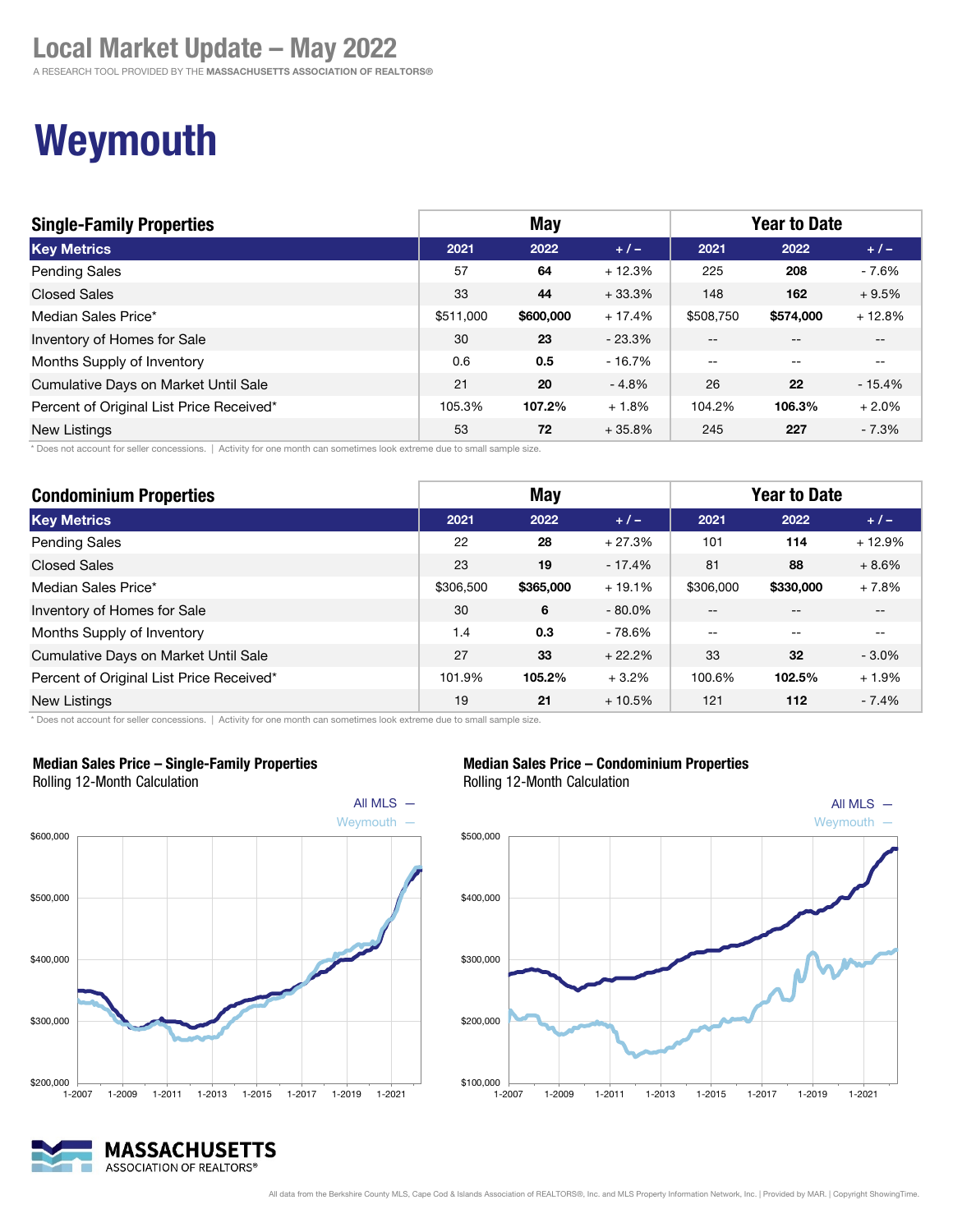A RESEARCH TOOL PROVIDED BY THE MASSACHUSETTS ASSOCIATION OF REALTORS®

# Weymouth

| <b>Single-Family Properties</b>          | May       |           |           | <b>Year to Date</b> |           |          |
|------------------------------------------|-----------|-----------|-----------|---------------------|-----------|----------|
| <b>Key Metrics</b>                       | 2021      | 2022      | $+/-$     | 2021                | 2022      | $+/-$    |
| <b>Pending Sales</b>                     | 57        | 64        | $+12.3%$  | 225                 | 208       | $-7.6%$  |
| <b>Closed Sales</b>                      | 33        | 44        | $+33.3%$  | 148                 | 162       | $+9.5%$  |
| Median Sales Price*                      | \$511,000 | \$600,000 | $+17.4%$  | \$508,750           | \$574,000 | $+12.8%$ |
| Inventory of Homes for Sale              | 30        | 23        | $-23.3\%$ | $- -$               |           | $- -$    |
| Months Supply of Inventory               | 0.6       | 0.5       | $-16.7%$  | $\sim$ $\sim$       | $- -$     | $- -$    |
| Cumulative Days on Market Until Sale     | 21        | 20        | $-4.8%$   | 26                  | 22        | $-15.4%$ |
| Percent of Original List Price Received* | 105.3%    | 107.2%    | $+1.8%$   | 104.2%              | 106.3%    | $+2.0%$  |
| <b>New Listings</b>                      | 53        | 72        | $+35.8%$  | 245                 | 227       | $-7.3%$  |

\* Does not account for seller concessions. | Activity for one month can sometimes look extreme due to small sample size.

| <b>Condominium Properties</b>            | <b>May</b> |           |           | <b>Year to Date</b> |           |          |
|------------------------------------------|------------|-----------|-----------|---------------------|-----------|----------|
| <b>Key Metrics</b>                       | 2021       | 2022      | $+/-$     | 2021                | 2022      | $+/-$    |
| <b>Pending Sales</b>                     | 22         | 28        | $+27.3%$  | 101                 | 114       | $+12.9%$ |
| <b>Closed Sales</b>                      | 23         | 19        | $-17.4%$  | 81                  | 88        | $+8.6%$  |
| Median Sales Price*                      | \$306,500  | \$365,000 | $+19.1%$  | \$306,000           | \$330,000 | $+7.8%$  |
| Inventory of Homes for Sale              | 30         | 6         | $-80.0\%$ | --                  |           |          |
| Months Supply of Inventory               | 1.4        | 0.3       | - 78.6%   | $-$                 |           |          |
| Cumulative Days on Market Until Sale     | 27         | 33        | $+22.2%$  | 33                  | 32        | $-3.0\%$ |
| Percent of Original List Price Received* | 101.9%     | 105.2%    | $+3.2%$   | 100.6%              | 102.5%    | $+1.9%$  |
| <b>New Listings</b>                      | 19         | 21        | $+10.5%$  | 121                 | 112       | $-7.4%$  |

\* Does not account for seller concessions. | Activity for one month can sometimes look extreme due to small sample size.



Median Sales Price – Single-Family Properties

#### Median Sales Price – Condominium Properties Rolling 12-Month Calculation